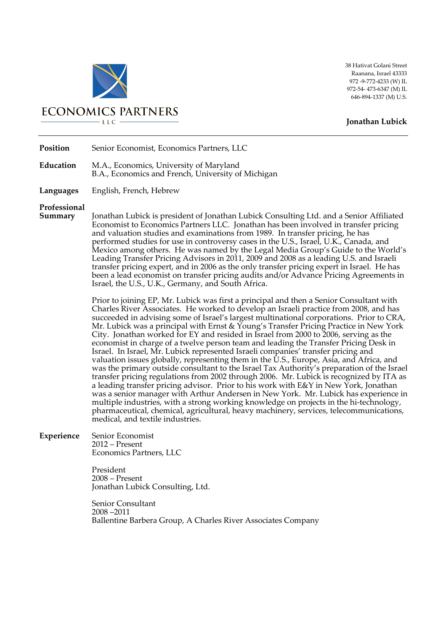

**ECONOMICS PARTNERS**  $-LLC$ 

38 Hativat Golani Street Raanana, Israel 43333 972 -9-772-4233 (W) IL 972-54- 473-6347 (M) IL 646-894-1337 (M) U.S.

## **Jonathan Lubick**

**Position** Senior Economist, Economics Partners, LLC

**Education** M.A., Economics, University of Maryland B.A., Economics and French, University of Michigan

**Languages** English, French, Hebrew

## **Professional**

**Summary** Jonathan Lubick is president of Jonathan Lubick Consulting Ltd. and a Senior Affiliated Economist to Economics Partners LLC. Jonathan has been involved in transfer pricing and valuation studies and examinations from 1989. In transfer pricing, he has performed studies for use in controversy cases in the U.S., Israel, U.K., Canada, and Mexico among others. He was named by the Legal Media Group's Guide to the World's Leading Transfer Pricing Advisors in 2011, 2009 and 2008 as a leading U.S. and Israeli transfer pricing expert, and in 2006 as the only transfer pricing expert in Israel. He has been a lead economist on transfer pricing audits and/or Advance Pricing Agreements in Israel, the U.S., U.K., Germany, and South Africa.

> Prior to joining EP, Mr. Lubick was first a principal and then a Senior Consultant with Charles River Associates. He worked to develop an Israeli practice from 2008, and has succeeded in advising some of Israel's largest multinational corporations. Prior to CRA, Mr. Lubick was a principal with Ernst & Young's Transfer Pricing Practice in New York City. Jonathan worked for EY and resided in Israel from 2000 to 2006, serving as the economist in charge of a twelve person team and leading the Transfer Pricing Desk in Israel. In Israel, Mr. Lubick represented Israeli companies' transfer pricing and valuation issues globally, representing them in the U.S., Europe, Asia, and Africa, and was the primary outside consultant to the Israel Tax Authority's preparation of the Israel transfer pricing regulations from 2002 through 2006. Mr. Lubick is recognized by ITA as a leading transfer pricing advisor. Prior to his work with E&Y in New York, Jonathan was a senior manager with Arthur Andersen in New York. Mr. Lubick has experience in multiple industries, with a strong working knowledge on projects in the hi-technology, pharmaceutical, chemical, agricultural, heavy machinery, services, telecommunications, medical, and textile industries.

**Experience** Senior Economist 2012 – Present Economics Partners, LLC

> President 2008 – Present Jonathan Lubick Consulting, Ltd.

Senior Consultant 2008 –2011 Ballentine Barbera Group, A Charles River Associates Company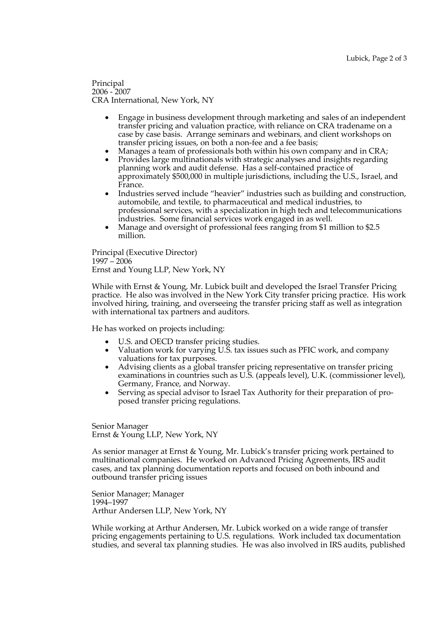Principal 2006 - 2007 CRA International, New York, NY

- Engage in business development through marketing and sales of an independent transfer pricing and valuation practice, with reliance on CRA tradename on a case by case basis. Arrange seminars and webinars, and client workshops on transfer pricing issues, on both a non-fee and a fee basis;
- Manages a team of professionals both within his own company and in CRA;
- Provides large multinationals with strategic analyses and insights regarding planning work and audit defense. Has a self-contained practice of approximately \$500,000 in multiple jurisdictions, including the U.S., Israel, and France.
- Industries served include "heavier" industries such as building and construction, automobile, and textile, to pharmaceutical and medical industries, to professional services, with a specialization in high tech and telecommunications industries. Some financial services work engaged in as well.
- Manage and oversight of professional fees ranging from \$1 million to \$2.5 million.

Principal (Executive Director) 1997 – 2006 Ernst and Young LLP, New York, NY

While with Ernst & Young, Mr. Lubick built and developed the Israel Transfer Pricing practice. He also was involved in the New York City transfer pricing practice. His work involved hiring, training, and overseeing the transfer pricing staff as well as integration with international tax partners and auditors.

He has worked on projects including:

- U.S. and OECD transfer pricing studies.
- Valuation work for varying U.S. tax issues such as PFIC work, and company valuations for tax purposes.
- Advising clients as a global transfer pricing representative on transfer pricing examinations in countries such as U.S. (appeals level), U.K. (commissioner level), Germany, France, and Norway.
- Serving as special advisor to Israel Tax Authority for their preparation of proposed transfer pricing regulations.

Senior Manager Ernst & Young LLP, New York, NY

As senior manager at Ernst & Young, Mr. Lubick's transfer pricing work pertained to multinational companies. He worked on Advanced Pricing Agreements, IRS audit cases, and tax planning documentation reports and focused on both inbound and outbound transfer pricing issues

Senior Manager; Manager 1994–1997 Arthur Andersen LLP, New York, NY

While working at Arthur Andersen, Mr. Lubick worked on a wide range of transfer pricing engagements pertaining to U.S. regulations. Work included tax documentation studies, and several tax planning studies. He was also involved in IRS audits, published